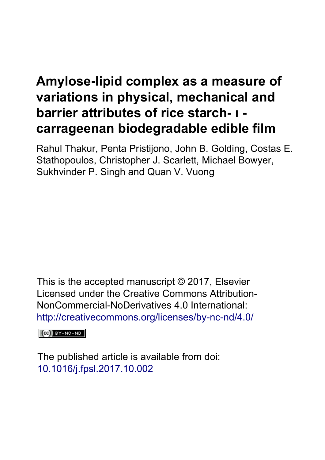# **Amylose-lipid complex as a measure of variations in physical, mechanical and barrier attributes of rice starch- ι carrageenan biodegradable edible film**

Rahul Thakur, Penta Pristijono, John B. Golding, Costas E. Stathopoulos, Christopher J. Scarlett, Michael Bowyer, Sukhvinder P. Singh and Quan V. Vuong

This is the accepted manuscript © 2017, Elsevier Licensed under the Creative Commons Attribution-NonCommercial-NoDerivatives 4.0 International: <http://creativecommons.org/licenses/by-nc-nd/4.0/>

 $(cc)$  BY-NC-ND

The published article is available from doi: 10.1016/j.fpsl.2017.10.002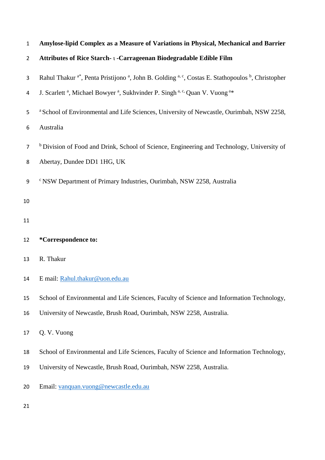| 1              | Amylose-lipid Complex as a Measure of Variations in Physical, Mechanical and Barrier                                                             |
|----------------|--------------------------------------------------------------------------------------------------------------------------------------------------|
| $\overline{2}$ | Attributes of Rice Starch-1-Carrageenan Biodegradable Edible Film                                                                                |
| 3              | Rahul Thakur <sup>a*</sup> , Penta Pristijono <sup>a</sup> , John B. Golding <sup>a, c</sup> , Costas E. Stathopoulos <sup>b</sup> , Christopher |
| 4              | J. Scarlett <sup>a</sup> , Michael Bowyer <sup>a</sup> , Sukhvinder P. Singh <sup>a, c,</sup> Quan V. Vuong <sup>a*</sup>                        |
| 5              | <sup>a</sup> School of Environmental and Life Sciences, University of Newcastle, Ourimbah, NSW 2258,                                             |
| 6              | Australia                                                                                                                                        |
| $\overline{7}$ | <sup>b</sup> Division of Food and Drink, School of Science, Engineering and Technology, University of                                            |
| 8              | Abertay, Dundee DD1 1HG, UK                                                                                                                      |
| $9\,$          | <sup>c</sup> NSW Department of Primary Industries, Ourimbah, NSW 2258, Australia                                                                 |
| 10             |                                                                                                                                                  |
| 11             |                                                                                                                                                  |
| 12             | *Correspondence to:                                                                                                                              |
| 13             | R. Thakur                                                                                                                                        |
| 14             | E mail: Rahul.thakur@uon.edu.au                                                                                                                  |
| 15             | School of Environmental and Life Sciences, Faculty of Science and Information Technology,                                                        |
| 16             | University of Newcastle, Brush Road, Ourimbah, NSW 2258, Australia.                                                                              |
| 17             | Q. V. Vuong                                                                                                                                      |
| 18             | School of Environmental and Life Sciences, Faculty of Science and Information Technology,                                                        |
| 19             | University of Newcastle, Brush Road, Ourimbah, NSW 2258, Australia.                                                                              |
| 20             | Email: yanquan.vuong@newcastle.edu.au                                                                                                            |
| 21             |                                                                                                                                                  |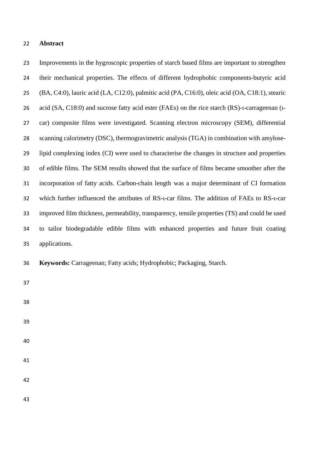#### **Abstract**

 Improvements in the hygroscopic properties of starch based films are important to strengthen their mechanical properties. The effects of different hydrophobic components-butyric acid (BA, C4:0), lauric acid (LA, C12:0), palmitic acid (PA, C16:0), oleic acid (OA, C18:1), stearic acid (SA, C18:0) and sucrose fatty acid ester (FAEs) on the rice starch (RS)-ι-carrageenan (ι- car) composite films were investigated. Scanning electron microscopy (SEM), differential scanning calorimetry (DSC), thermogravimetric analysis (TGA) in combination with amylose- lipid complexing index (CI) were used to characterise the changes in structure and properties of edible films. The SEM results showed that the surface of films became smoother after the incorporation of fatty acids. Carbon-chain length was a major determinant of CI formation 32 which further influenced the attributes of RS-t-car films. The addition of FAEs to RS-t-car improved film thickness, permeability, transparency, tensile properties (TS) and could be used to tailor biodegradable edible films with enhanced properties and future fruit coating applications.

**Keywords:** Carrageenan; Fatty acids; Hydrophobic; Packaging, Starch.

- 
- 
- 
- 
- 
-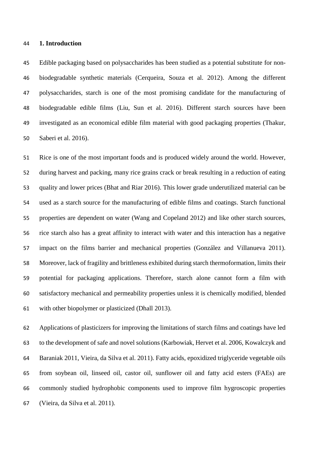#### **1. Introduction**

 Edible packaging based on polysaccharides has been studied as a potential substitute for non- biodegradable synthetic materials (Cerqueira, Souza et al. 2012). Among the different polysaccharides, starch is one of the most promising candidate for the manufacturing of biodegradable edible films (Liu, Sun et al. 2016). Different starch sources have been investigated as an economical edible film material with good packaging properties (Thakur, Saberi et al. 2016).

 Rice is one of the most important foods and is produced widely around the world. However, during harvest and packing, many rice grains crack or break resulting in a reduction of eating quality and lower prices (Bhat and Riar 2016). This lower grade underutilized material can be used as a starch source for the manufacturing of edible films and coatings. Starch functional properties are dependent on water (Wang and Copeland 2012) and like other starch sources, rice starch also has a great affinity to interact with water and this interaction has a negative impact on the films barrier and mechanical properties (González and Villanueva 2011). Moreover, lack of fragility and brittleness exhibited during starch thermoformation, limits their potential for packaging applications. Therefore, starch alone cannot form a film with satisfactory mechanical and permeability properties unless it is chemically modified, blended with other biopolymer or plasticized (Dhall 2013).

 Applications of plasticizers for improving the limitations of starch films and coatings have led to the development of safe and novel solutions (Karbowiak, Hervet et al. 2006, Kowalczyk and Baraniak 2011, Vieira, da Silva et al. 2011). Fatty acids, epoxidized triglyceride vegetable oils from soybean oil, linseed oil, castor oil, sunflower oil and fatty acid esters (FAEs) are commonly studied hydrophobic components used to improve film hygroscopic properties (Vieira, da Silva et al. 2011).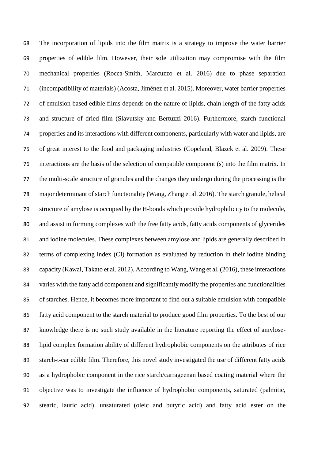The incorporation of lipids into the film matrix is a strategy to improve the water barrier properties of edible film. However, their sole utilization may compromise with the film mechanical properties (Rocca-Smith, Marcuzzo et al. 2016) due to phase separation (incompatibility of materials) (Acosta, Jiménez et al. 2015). Moreover, water barrier properties of emulsion based edible films depends on the nature of lipids, chain length of the fatty acids and structure of dried film (Slavutsky and Bertuzzi 2016). Furthermore, starch functional properties and its interactions with different components, particularly with water and lipids, are of great interest to the food and packaging industries (Copeland, Blazek et al. 2009). These interactions are the basis of the selection of compatible component (s) into the film matrix. In the multi-scale structure of granules and the changes they undergo during the processing is the major determinant of starch functionality (Wang, Zhang et al. 2016). The starch granule, helical structure of amylose is occupied by the H-bonds which provide hydrophilicity to the molecule, and assist in forming complexes with the free fatty acids, fatty acids components of glycerides and iodine molecules. These complexes between amylose and lipids are generally described in terms of complexing index (CI) formation as evaluated by reduction in their iodine binding capacity (Kawai, Takato et al. 2012). According to Wang, Wang et al. (2016), these interactions varies with the fatty acid component and significantly modify the properties and functionalities of starches. Hence, it becomes more important to find out a suitable emulsion with compatible fatty acid component to the starch material to produce good film properties. To the best of our knowledge there is no such study available in the literature reporting the effect of amylose- lipid complex formation ability of different hydrophobic components on the attributes of rice starch-ι-car edible film. Therefore, this novel study investigated the use of different fatty acids as a hydrophobic component in the rice starch/carrageenan based coating material where the objective was to investigate the influence of hydrophobic components, saturated (palmitic, stearic, lauric acid), unsaturated (oleic and butyric acid) and fatty acid ester on the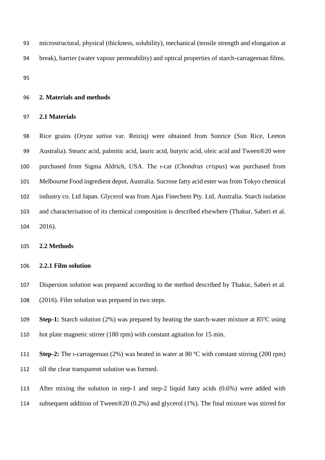microstructural, physical (thickness, solubility), mechanical (tensile strength and elongation at break), barrier (water vapour permeability) and optical properties of starch-carrageenan films.

#### **2. Materials and methods**

## **2.1 Materials**

 Rice grains (*Oryza sativa* var. Reiziq) were obtained from Sunrice (Sun Rice, Leeton Australia). Stearic acid, palmitic acid, lauric acid, butyric acid, oleic acid and Tween®20 were purchased from Sigma Aldrich, USA. The ι-car (*Chondrus crispus*) was purchased from Melbourne Food ingredient depot, Australia. Sucrose fatty acid ester was from Tokyo chemical industry co. Ltd Japan. Glycerol was from Ajax Finechem Pty. Ltd, Australia. Starch isolation and characterisation of its chemical composition is described elsewhere (Thakur, Saberi et al. 2016).

**2.2 Methods**

## **2.2.1 Film solution**

- Dispersion solution was prepared according to the method described by Thakur, Saberi et al.
- (2016). Film solution was prepared in two steps.
- **Step-1:** Starch solution (2%) was prepared by heating the starch-water mixture at 85ºC using hot plate magnetic stirrer (180 rpm) with constant agitation for 15 min.
- **Step-2:** The *u*-carrageenan (2%) was heated in water at 80 °C with constant stirring (200 rpm) till the clear transparent solution was formed.
- After mixing the solution in step-1 and step-2 liquid fatty acids (0.6%) were added with subsequent addition of Tween®20 (0.2%) and glycerol (1%). The final mixture was stirred for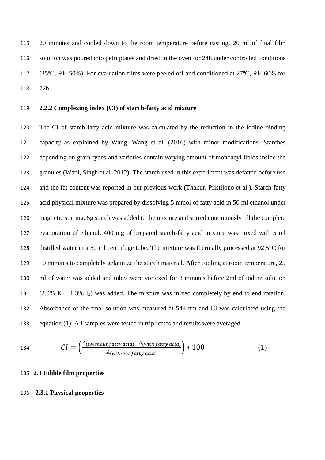20 minutes and cooled down to the room temperature before casting. 20 ml of final film solution was poured into petri plates and dried in the oven for 24h under controlled conditions (35ºC, RH 50%). For evaluation films were peeled off and conditioned at 27ºC, RH 60% for 72h.

## **2.2.2 Complexing index (CI) of starch-fatty acid mixture**

 The CI of starch-fatty acid mixture was calculated by the reduction in the iodine binding capacity as explained by Wang, Wang et al. (2016) with minor modifications. Starches depending on grain types and varieties contain varying amount of monoacyl lipids inside the granules (Wani, Singh et al. 2012). The starch used in this experiment was defatted before use and the fat content was reported in our previous work (Thakur, Pristijono et al.). Starch-fatty acid physical mixture was prepared by dissolving 5 mmol of fatty acid in 50 ml ethanol under magnetic stirring. 5g starch was added to the mixture and stirred continuously till the complete evaporation of ethanol. 400 mg of prepared starch-fatty acid mixture was mixed with 5 ml distilled water in a 50 ml centrifuge tube. The mixture was thermally processed at 92.5°C for 129 10 minutes to completely gelatinize the starch material. After cooling at room temperature, 25 ml of water was added and tubes were vortexed for 3 minutes before 2ml of iodine solution (2.0% KI+ 1.3% I2) was added. The mixture was mixed completely by end to end rotation. Absorbance of the final solution was measured at 548 nm and CI was calculated using the equation (1). All samples were tested in triplicates and results were averaged.

134 
$$
CI = \left(\frac{A_{((without \, fatty \, acid)} - A_{(with \, fatty \, acid)}}{A_{(without \, fatty \, acid)}}\right) * 100
$$
 (1)

## **2.3 Edible film properties**

#### **2.3.1 Physical properties**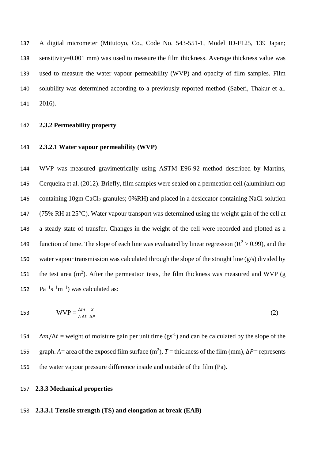A digital micrometer (Mitutoyo, Co., Code No. 543-551-1, Model ID-F125, 139 Japan; sensitivity=0.001 mm) was used to measure the film thickness. Average thickness value was used to measure the water vapour permeability (WVP) and opacity of film samples. Film solubility was determined according to a previously reported method (Saberi, Thakur et al. 141 2016).

## 142 **2.3.2 Permeability property**

## 143 **2.3.2.1 Water vapour permeability (WVP)**

 WVP was measured gravimetrically using ASTM E96-92 method described by Martins, Cerqueira et al. (2012). Briefly, film samples were sealed on a permeation cell (aluminium cup 146 containing 10gm CaCl<sub>2</sub> granules;  $0\%RH$ ) and placed in a desiccator containing NaCl solution (75% RH at 25°C). Water vapour transport was determined using the weight gain of the cell at a steady state of transfer. Changes in the weight of the cell were recorded and plotted as a 149 function of time. The slope of each line was evaluated by linear regression ( $\mathbb{R}^2 > 0.99$ ), and the water vapour transmission was calculated through the slope of the straight line (g/s) divided by 151 the test area  $(m^2)$ . After the permeation tests, the film thickness was measured and WVP (g  $\text{Pa}^{-1}\text{s}^{-1}\text{m}^{-1}$ ) was calculated as:

153 
$$
WVP = \frac{\Delta m}{A \Delta t} \frac{X}{\Delta P}
$$
 (2)

 $\Delta m/\Delta t$  = weight of moisture gain per unit time (gs<sup>-1</sup>) and can be calculated by the slope of the 155 graph. *A*= area of the exposed film surface (m<sup>2</sup>), *T* = thickness of the film (mm),  $\Delta P$ = represents 156 the water vapour pressure difference inside and outside of the film (Pa).

## 157 **2.3.3 Mechanical properties**

## 158 **2.3.3.1 Tensile strength (TS) and elongation at break (EAB)**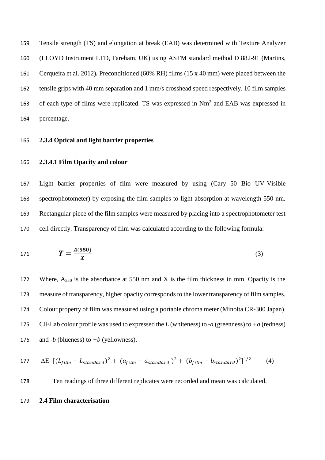Tensile strength (TS) and elongation at break (EAB) was determined with Texture Analyzer (LLOYD Instrument LTD, Fareham, UK) using ASTM standard method D 882-91 (Martins, Cerqueira et al. 2012)**.** Preconditioned (60% RH) films (15 x 40 mm) were placed between the tensile grips with 40 mm separation and 1 mm/s crosshead speed respectively. 10 film samples 163 of each type of films were replicated. TS was expressed in  $Nm<sup>2</sup>$  and EAB was expressed in percentage.

## **2.3.4 Optical and light barrier properties**

## **2.3.4.1 Film Opacity and colour**

 Light barrier properties of film were measured by using (Cary 50 Bio UV-Visible spectrophotometer) by exposing the film samples to light absorption at wavelength 550 nm. Rectangular piece of the film samples were measured by placing into a spectrophotometer test cell directly. Transparency of film was calculated according to the following formula:

171 
$$
T = \frac{A(550)}{X}
$$
 (3)

172 Where, A<sub>550</sub> is the absorbance at 550 nm and X is the film thickness in mm. Opacity is the measure of transparency, higher opacity corresponds to the lower transparency of film samples. Colour property of film was measured using a portable chroma meter (Minolta CR-300 Japan). CIELab colour profile was used to expressed the *L* (whiteness) to *-a* (greenness) to *+a* (redness) 176 and *-b* (blueness) to  $+b$  (yellowness).

177 
$$
\Delta E = [(L_{film} - L_{standard})^2 + (a_{film} - a_{standard})^2 + (b_{film} - b_{standard})^2]^{1/2}
$$
 (4)

Ten readings of three different replicates were recorded and mean was calculated.

**2.4 Film characterisation**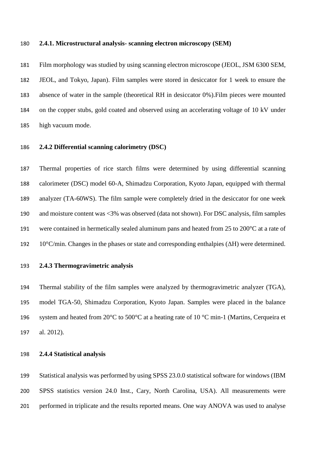#### **2.4.1. Microstructural analysis- scanning electron microscopy (SEM)**

 Film morphology was studied by using scanning electron microscope (JEOL, JSM 6300 SEM, JEOL, and Tokyo, Japan). Film samples were stored in desiccator for 1 week to ensure the absence of water in the sample (theoretical RH in desiccator 0%).Film pieces were mounted on the copper stubs, gold coated and observed using an accelerating voltage of 10 kV under high vacuum mode.

## **2.4.2 Differential scanning calorimetry (DSC)**

 Thermal properties of rice starch films were determined by using differential scanning calorimeter (DSC) model 60-A, Shimadzu Corporation, Kyoto Japan, equipped with thermal analyzer (TA-60WS). The film sample were completely dried in the desiccator for one week and moisture content was <3% was observed (data not shown). For DSC analysis, film samples were contained in hermetically sealed aluminum pans and heated from 25 to 200°C at a rate of 10°C/min. Changes in the phases or state and corresponding enthalpies (ΔH) were determined.

## **2.4.3 Thermogravimetric analysis**

 Thermal stability of the film samples were analyzed by thermogravimetric analyzer (TGA), model TGA-50, Shimadzu Corporation, Kyoto Japan. Samples were placed in the balance 196 system and heated from  $20^{\circ}$ C to  $500^{\circ}$ C at a heating rate of 10  $^{\circ}$ C min-1 (Martins, Cerqueira et al. 2012).

## **2.4.4 Statistical analysis**

 Statistical analysis was performed by using SPSS 23.0.0 statistical software for windows (IBM SPSS statistics version 24.0 Inst., Cary, North Carolina, USA). All measurements were performed in triplicate and the results reported means. One way ANOVA was used to analyse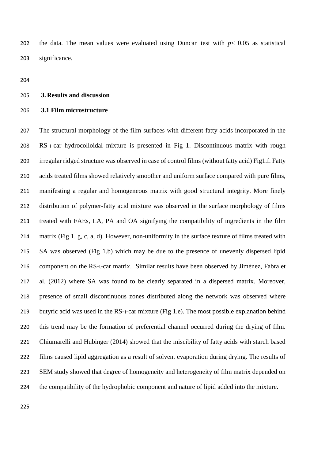202 the data. The mean values were evaluated using Duncan test with  $p < 0.05$  as statistical significance.

#### **3. Results and discussion**

## **3.1 Film microstructure**

 The structural morphology of the film surfaces with different fatty acids incorporated in the RS-ι-car hydrocolloidal mixture is presented in Fig 1. Discontinuous matrix with rough irregular ridged structure was observed in case of control films (without fatty acid) Fig1.f. Fatty acids treated films showed relatively smoother and uniform surface compared with pure films, manifesting a regular and homogeneous matrix with good structural integrity. More finely distribution of polymer-fatty acid mixture was observed in the surface morphology of films treated with FAEs, LA, PA and OA signifying the compatibility of ingredients in the film matrix (Fig 1. g, c, a, d). However, non-uniformity in the surface texture of films treated with SA was observed (Fig 1.b) which may be due to the presence of unevenly dispersed lipid 216 component on the RS-t-car matrix. Similar results have been observed by Jiménez, Fabra et al. (2012) where SA was found to be clearly separated in a dispersed matrix. Moreover, presence of small discontinuous zones distributed along the network was observed where butyric acid was used in the RS-ι-car mixture (Fig 1.e). The most possible explanation behind this trend may be the formation of preferential channel occurred during the drying of film. Chiumarelli and Hubinger (2014) showed that the miscibility of fatty acids with starch based films caused lipid aggregation as a result of solvent evaporation during drying. The results of SEM study showed that degree of homogeneity and heterogeneity of film matrix depended on the compatibility of the hydrophobic component and nature of lipid added into the mixture.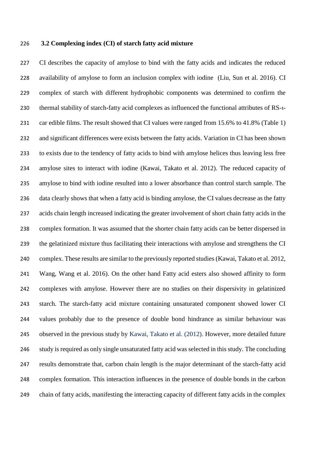## **3.2 Complexing index (CI) of starch fatty acid mixture**

 CI describes the capacity of amylose to bind with the fatty acids and indicates the reduced availability of amylose to form an inclusion complex with iodine (Liu, Sun et al. 2016). CI complex of starch with different hydrophobic components was determined to confirm the 230 thermal stability of starch-fatty acid complexes as influenced the functional attributes of RS-t-231 car edible films. The result showed that CI values were ranged from 15.6% to 41.8% (Table 1) and significant differences were exists between the fatty acids. Variation in CI has been shown to exists due to the tendency of fatty acids to bind with amylose helices thus leaving less free amylose sites to interact with iodine (Kawai, Takato et al. 2012). The reduced capacity of amylose to bind with iodine resulted into a lower absorbance than control starch sample. The data clearly shows that when a fatty acid is binding amylose, the CI values decrease as the fatty acids chain length increased indicating the greater involvement of short chain fatty acids in the complex formation. It was assumed that the shorter chain fatty acids can be better dispersed in the gelatinized mixture thus facilitating their interactions with amylose and strengthens the CI complex. These results are similar to the previously reported studies (Kawai, Takato et al. 2012, Wang, Wang et al. 2016). On the other hand Fatty acid esters also showed affinity to form complexes with amylose. However there are no studies on their dispersivity in gelatinized starch. The starch-fatty acid mixture containing unsaturated component showed lower CI values probably due to the presence of double bond hindrance as similar behaviour was observed in the previous study by Kawai, Takato et al. (2012). However, more detailed future study is required as only single unsaturated fatty acid was selected in this study. The concluding results demonstrate that, carbon chain length is the major determinant of the starch-fatty acid complex formation. This interaction influences in the presence of double bonds in the carbon chain of fatty acids, manifesting the interacting capacity of different fatty acids in the complex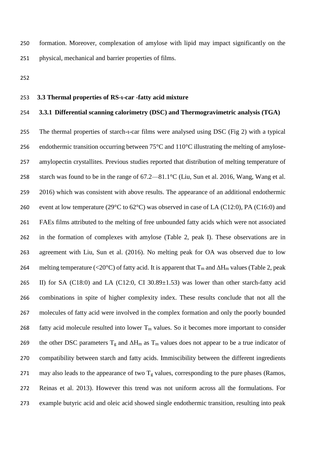formation. Moreover, complexation of amylose with lipid may impact significantly on the physical, mechanical and barrier properties of films.

## **3.3 Thermal properties of RS-ι-car -fatty acid mixture**

# **3.3.1 Differential scanning calorimetry (DSC) and Thermogravimetric analysis (TGA)**

255 The thermal properties of starch-t-car films were analysed using DSC (Fig 2) with a typical endothermic transition occurring between 75°C and 110°C illustrating the melting of amylose- amylopectin crystallites. Previous studies reported that distribution of melting temperature of starch was found to be in the range of 67.2—81.1°C (Liu, Sun et al. 2016, Wang, Wang et al. 259 2016) which was consistent with above results. The appearance of an additional endothermic 260 event at low temperature (29 $\degree$ C to 62 $\degree$ C) was observed in case of LA (C12:0), PA (C16:0) and FAEs films attributed to the melting of free unbounded fatty acids which were not associated in the formation of complexes with amylose (Table 2, peak I). These observations are in agreement with Liu, Sun et al. (2016). No melting peak for OA was observed due to low 264 melting temperature (<20°C) of fatty acid. It is apparent that  $T_m$  and  $\Delta H_m$  values (Table 2, peak II) for SA (C18:0) and LA (C12:0, CI 30.89±1.53) was lower than other starch-fatty acid combinations in spite of higher complexity index. These results conclude that not all the molecules of fatty acid were involved in the complex formation and only the poorly bounded 268 fatty acid molecule resulted into lower  $T_m$  values. So it becomes more important to consider 269 the other DSC parameters  $T_g$  and  $\Delta H_m$  as  $T_m$  values does not appear to be a true indicator of compatibility between starch and fatty acids. Immiscibility between the different ingredients 271 may also leads to the appearance of two  $T_g$  values, corresponding to the pure phases (Ramos, Reinas et al. 2013). However this trend was not uniform across all the formulations. For example butyric acid and oleic acid showed single endothermic transition, resulting into peak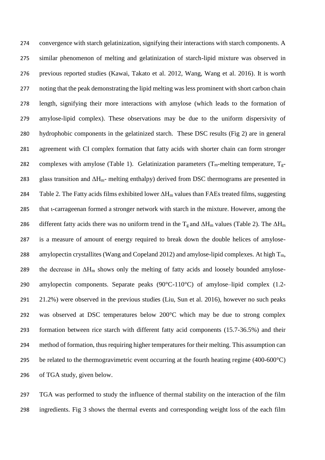convergence with starch gelatinization, signifying their interactions with starch components. A similar phenomenon of melting and gelatinization of starch-lipid mixture was observed in previous reported studies (Kawai, Takato et al. 2012, Wang, Wang et al. 2016). It is worth 277 noting that the peak demonstrating the lipid melting was less prominent with short carbon chain length, signifying their more interactions with amylose (which leads to the formation of amylose-lipid complex). These observations may be due to the uniform dispersivity of hydrophobic components in the gelatinized starch. These DSC results (Fig 2) are in general agreement with CI complex formation that fatty acids with shorter chain can form stronger 282 complexes with amylose (Table 1). Gelatinization parameters ( $T_m$ -melting temperature,  $T_g$ -283 glass transition and  $\Delta H_{m}$ - melting enthalpy) derived from DSC thermograms are presented in 284 Table 2. The Fatty acids films exhibited lower  $\Delta H_m$  values than FAEs treated films, suggesting that ι-carrageenan formed a stronger network with starch in the mixture. However, among the 286 different fatty acids there was no uniform trend in the  $T_g$  and  $\Delta H_m$  values (Table 2). The  $\Delta H_m$  is a measure of amount of energy required to break down the double helices of amylose-288 amylopectin crystallites (Wang and Copeland 2012) and amylose-lipid complexes. At high  $T_m$ , 289 the decrease in  $\Delta H_m$  shows only the melting of fatty acids and loosely bounded amylose- amylopectin components. Separate peaks (90°C-110°C) of amylose–lipid complex (1.2- 21.2%) were observed in the previous studies (Liu, Sun et al. 2016), however no such peaks was observed at DSC temperatures below 200°C which may be due to strong complex formation between rice starch with different fatty acid components (15.7-36.5%) and their method of formation, thus requiring higher temperatures for their melting. This assumption can 295 be related to the thermogravimetric event occurring at the fourth heating regime  $(400-600^{\circ}C)$ of TGA study, given below.

 TGA was performed to study the influence of thermal stability on the interaction of the film ingredients. Fig 3 shows the thermal events and corresponding weight loss of the each film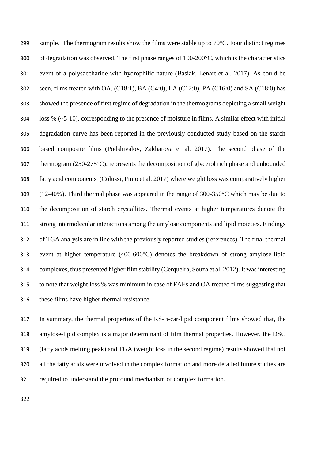299 sample. The thermogram results show the films were stable up to  $70^{\circ}$ C. Four distinct regimes of degradation was observed. The first phase ranges of 100-200°C, which is the characteristics event of a polysaccharide with hydrophilic nature (Basiak, Lenart et al. 2017). As could be seen, films treated with OA, (C18:1), BA (C4:0), LA (C12:0), PA (C16:0) and SA (C18:0) has showed the presence of first regime of degradation in the thermograms depicting a small weight loss % (~5-10), corresponding to the presence of moisture in films. A similar effect with initial degradation curve has been reported in the previously conducted study based on the starch based composite films (Podshivalov, Zakharova et al. 2017). The second phase of the thermogram (250-275°C), represents the decomposition of glycerol rich phase and unbounded fatty acid components (Colussi, Pinto et al. 2017) where weight loss was comparatively higher (12-40%). Third thermal phase was appeared in the range of 300-350°C which may be due to the decomposition of starch crystallites. Thermal events at higher temperatures denote the strong intermolecular interactions among the amylose components and lipid moieties. Findings of TGA analysis are in line with the previously reported studies (references). The final thermal event at higher temperature (400-600°C) denotes the breakdown of strong amylose-lipid complexes, thus presented higher film stability (Cerqueira, Souza et al. 2012). It was interesting to note that weight loss % was minimum in case of FAEs and OA treated films suggesting that these films have higher thermal resistance.

 In summary, the thermal properties of the RS- ι-car-lipid component films showed that, the amylose-lipid complex is a major determinant of film thermal properties. However, the DSC (fatty acids melting peak) and TGA (weight loss in the second regime) results showed that not all the fatty acids were involved in the complex formation and more detailed future studies are required to understand the profound mechanism of complex formation.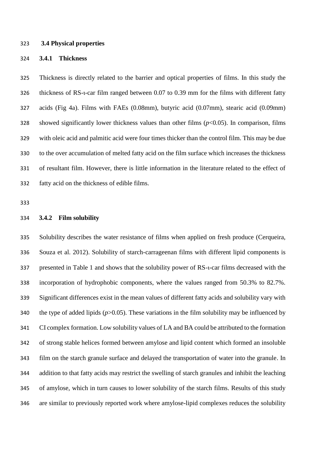#### **3.4 Physical properties**

## **3.4.1 Thickness**

 Thickness is directly related to the barrier and optical properties of films. In this study the 326 thickness of RS-t-car film ranged between 0.07 to 0.39 mm for the films with different fatty acids (Fig 4a). Films with FAEs (0.08mm), butyric acid (0.07mm), stearic acid (0.09mm) showed significantly lower thickness values than other films (*p*<0.05). In comparison, films with oleic acid and palmitic acid were four times thicker than the control film. This may be due to the over accumulation of melted fatty acid on the film surface which increases the thickness of resultant film. However, there is little information in the literature related to the effect of fatty acid on the thickness of edible films.

#### **3.4.2 Film solubility**

 Solubility describes the water resistance of films when applied on fresh produce (Cerqueira, Souza et al. 2012). Solubility of starch-carrageenan films with different lipid components is presented in Table 1 and shows that the solubility power of RS-ι-car films decreased with the incorporation of hydrophobic components, where the values ranged from 50.3% to 82.7%. Significant differences exist in the mean values of different fatty acids and solubility vary with 340 the type of added lipids  $(p>0.05)$ . These variations in the film solubility may be influenced by CI complex formation. Low solubility values of LA and BA could be attributed to the formation of strong stable helices formed between amylose and lipid content which formed an insoluble film on the starch granule surface and delayed the transportation of water into the granule. In addition to that fatty acids may restrict the swelling of starch granules and inhibit the leaching of amylose, which in turn causes to lower solubility of the starch films. Results of this study are similar to previously reported work where amylose-lipid complexes reduces the solubility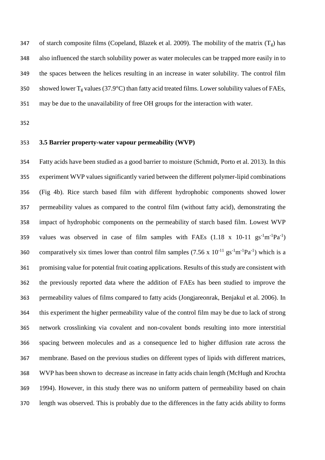347 of starch composite films (Copeland, Blazek et al. 2009). The mobility of the matrix  $(T_g)$  has also influenced the starch solubility power as water molecules can be trapped more easily in to the spaces between the helices resulting in an increase in water solubility. The control film 350 showed lower  $T_g$  values (37.9°C) than fatty acid treated films. Lower solubility values of FAEs, may be due to the unavailability of free OH groups for the interaction with water.

# **3.5 Barrier property-water vapour permeability (WVP)**

 Fatty acids have been studied as a good barrier to moisture (Schmidt, Porto et al. 2013). In this experiment WVP values significantly varied between the different polymer-lipid combinations (Fig 4b). Rice starch based film with different hydrophobic components showed lower permeability values as compared to the control film (without fatty acid), demonstrating the impact of hydrophobic components on the permeability of starch based film. Lowest WVP 359 values was observed in case of film samples with FAEs  $(1.18 \times 10^{-11} \text{ g s}^{-1} \text{m}^{-1} \text{Pa}^{-1})$ 360 comparatively six times lower than control film samples  $(7.56 \times 10^{-11} \text{ gs}^{-1} \text{m}^{-1} \text{Pa}^{-1})$  which is a promising value for potential fruit coating applications. Results of this study are consistent with the previously reported data where the addition of FAEs has been studied to improve the permeability values of films compared to fatty acids (Jongjareonrak, Benjakul et al. 2006). In this experiment the higher permeability value of the control film may be due to lack of strong network crosslinking via covalent and non-covalent bonds resulting into more interstitial spacing between molecules and as a consequence led to higher diffusion rate across the membrane. Based on the previous studies on different types of lipids with different matrices, WVP has been shown to decrease as increase in fatty acids chain length (McHugh and Krochta 1994). However, in this study there was no uniform pattern of permeability based on chain length was observed. This is probably due to the differences in the fatty acids ability to forms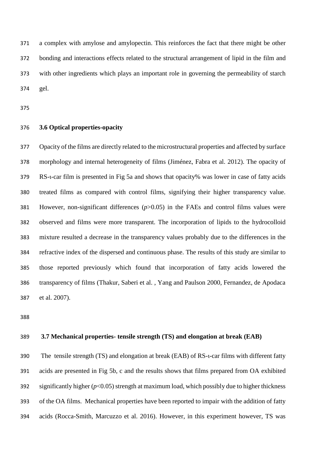a complex with amylose and amylopectin. This reinforces the fact that there might be other bonding and interactions effects related to the structural arrangement of lipid in the film and with other ingredients which plays an important role in governing the permeability of starch gel.

## **3.6 Optical properties-opacity**

 Opacity of the films are directly related to the microstructural properties and affected by surface morphology and internal heterogeneity of films (Jiménez, Fabra et al. 2012). The opacity of RS-ι-car film is presented in Fig 5a and shows that opacity% was lower in case of fatty acids treated films as compared with control films, signifying their higher transparency value. However, non-significant differences (*p*>0.05) in the FAEs and control films values were observed and films were more transparent. The incorporation of lipids to the hydrocolloid mixture resulted a decrease in the transparency values probably due to the differences in the refractive index of the dispersed and continuous phase. The results of this study are similar to those reported previously which found that incorporation of fatty acids lowered the transparency of films (Thakur, Saberi et al. , Yang and Paulson 2000, Fernandez, de Apodaca et al. 2007).

## **3.7 Mechanical properties- tensile strength (TS) and elongation at break (EAB)**

390 The tensile strength (TS) and elongation at break (EAB) of RS-t-car films with different fatty acids are presented in Fig 5b, c and the results shows that films prepared from OA exhibited 392 significantly higher  $(p<0.05)$  strength at maximum load, which possibly due to higher thickness of the OA films. Mechanical properties have been reported to impair with the addition of fatty acids (Rocca-Smith, Marcuzzo et al. 2016). However, in this experiment however, TS was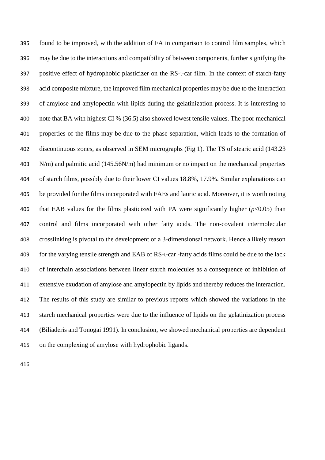found to be improved, with the addition of FA in comparison to control film samples, which may be due to the interactions and compatibility of between components, further signifying the positive effect of hydrophobic plasticizer on the RS-ι-car film. In the context of starch-fatty acid composite mixture, the improved film mechanical properties may be due to the interaction of amylose and amylopectin with lipids during the gelatinization process. It is interesting to note that BA with highest CI % (36.5) also showed lowest tensile values. The poor mechanical properties of the films may be due to the phase separation, which leads to the formation of discontinuous zones, as observed in SEM micrographs (Fig 1). The TS of stearic acid (143.23 N/m) and palmitic acid (145.56N/m) had minimum or no impact on the mechanical properties of starch films, possibly due to their lower CI values 18.8%, 17.9%. Similar explanations can be provided for the films incorporated with FAEs and lauric acid. Moreover, it is worth noting 406 that EAB values for the films plasticized with PA were significantly higher  $(p<0.05)$  than control and films incorporated with other fatty acids. The non-covalent intermolecular crosslinking is pivotal to the development of a 3-dimensionsal network. Hence a likely reason for the varying tensile strength and EAB of RS-ι-car -fatty acids films could be due to the lack of interchain associations between linear starch molecules as a consequence of inhibition of extensive exudation of amylose and amylopectin by lipids and thereby reduces the interaction. The results of this study are similar to previous reports which showed the variations in the starch mechanical properties were due to the influence of lipids on the gelatinization process (Biliaderis and Tonogai 1991). In conclusion, we showed mechanical properties are dependent on the complexing of amylose with hydrophobic ligands.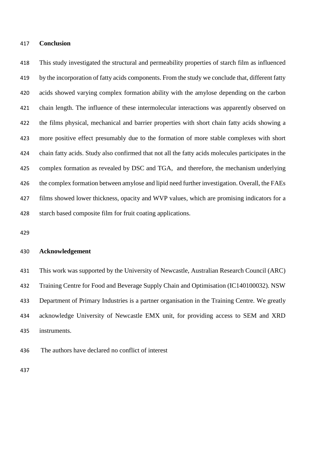#### **Conclusion**

 This study investigated the structural and permeability properties of starch film as influenced by the incorporation of fatty acids components. From the study we conclude that, different fatty acids showed varying complex formation ability with the amylose depending on the carbon chain length. The influence of these intermolecular interactions was apparently observed on the films physical, mechanical and barrier properties with short chain fatty acids showing a more positive effect presumably due to the formation of more stable complexes with short chain fatty acids. Study also confirmed that not all the fatty acids molecules participates in the complex formation as revealed by DSC and TGA, and therefore, the mechanism underlying the complex formation between amylose and lipid need further investigation. Overall, the FAEs films showed lower thickness, opacity and WVP values, which are promising indicators for a starch based composite film for fruit coating applications.

## **Acknowledgement**

 This work was supported by the University of Newcastle, Australian Research Council (ARC) Training Centre for Food and Beverage Supply Chain and Optimisation (IC140100032). NSW Department of Primary Industries is a partner organisation in the Training Centre. We greatly acknowledge University of Newcastle EMX unit, for providing access to SEM and XRD instruments.

The authors have declared no conflict of interest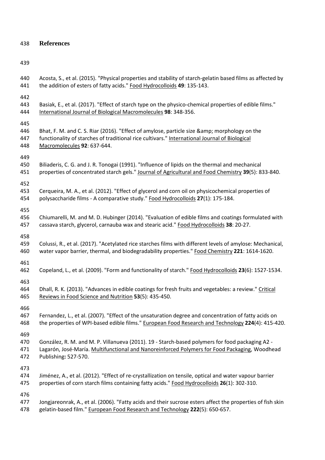**References**

 Acosta, S., et al. (2015). "Physical properties and stability of starch-gelatin based films as affected by the addition of esters of fatty acids." Food Hydrocolloids **49**: 135-143. Basiak, E., et al. (2017). "Effect of starch type on the physico-chemical properties of edible films." International Journal of Biological Macromolecules **98**: 348-356. 446 Bhat, F. M. and C. S. Riar (2016). "Effect of amylose, particle size & amp; morphology on the 447 functionality of starches of traditional rice cultivars." International Journal of Biological Macromolecules **92**: 637-644. Biliaderis, C. G. and J. R. Tonogai (1991). "Influence of lipids on the thermal and mechanical properties of concentrated starch gels." Journal of Agricultural and Food Chemistry **39**(5): 833-840. Cerqueira, M. A., et al. (2012). "Effect of glycerol and corn oil on physicochemical properties of polysaccharide films - A comparative study." Food Hydrocolloids **27**(1): 175-184. Chiumarelli, M. and M. D. Hubinger (2014). "Evaluation of edible films and coatings formulated with cassava starch, glycerol, carnauba wax and stearic acid." Food Hydrocolloids **38**: 20-27. Colussi, R., et al. (2017). "Acetylated rice starches films with different levels of amylose: Mechanical, water vapor barrier, thermal, and biodegradability properties." Food Chemistry **221**: 1614-1620. Copeland, L., et al. (2009). "Form and functionality of starch." Food Hydrocolloids **23**(6): 1527-1534. 464 Dhall, R. K. (2013). "Advances in edible coatings for fresh fruits and vegetables: a review." Critical Reviews in Food Science and Nutrition **53**(5): 435-450. Fernandez, L., et al. (2007). "Effect of the unsaturation degree and concentration of fatty acids on the properties of WPI-based edible films." European Food Research and Technology **224**(4): 415-420. González, R. M. and M. P. Villanueva (2011). 19 - Starch-based polymers for food packaging A2 - Lagarón, José-María. Multifunctional and Nanoreinforced Polymers for Food Packaging, Woodhead Publishing**:** 527-570. Jiménez, A., et al. (2012). "Effect of re-crystallization on tensile, optical and water vapour barrier properties of corn starch films containing fatty acids." Food Hydrocolloids **26**(1): 302-310. Jongjareonrak, A., et al. (2006). "Fatty acids and their sucrose esters affect the properties of fish skin gelatin-based film." European Food Research and Technology **222**(5): 650-657.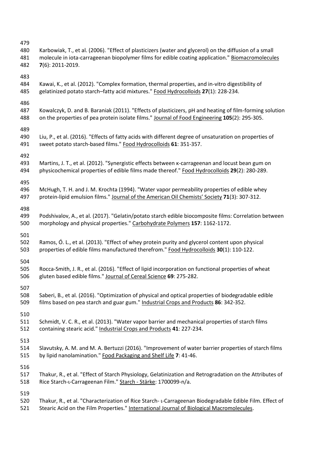| 479<br>480<br>481<br>482 | Karbowiak, T., et al. (2006). "Effect of plasticizers (water and glycerol) on the diffusion of a small<br>molecule in iota-carrageenan biopolymer films for edible coating application." Biomacromolecules<br>$7(6)$ : 2011-2019. |
|--------------------------|-----------------------------------------------------------------------------------------------------------------------------------------------------------------------------------------------------------------------------------|
| 483<br>484<br>485        | Kawai, K., et al. (2012). "Complex formation, thermal properties, and in-vitro digestibility of<br>gelatinized potato starch-fatty acid mixtures." Food Hydrocolloids 27(1): 228-234.                                             |
| 486<br>487<br>488        | Kowalczyk, D. and B. Baraniak (2011). "Effects of plasticizers, pH and heating of film-forming solution<br>on the properties of pea protein isolate films." Journal of Food Engineering 105(2): 295-305.                          |
| 489<br>490<br>491        | Liu, P., et al. (2016). "Effects of fatty acids with different degree of unsaturation on properties of<br>sweet potato starch-based films." Food Hydrocolloids 61: 351-357.                                                       |
| 492<br>493<br>494        | Martins, J. T., et al. (2012). "Synergistic effects between K-carrageenan and locust bean gum on<br>physicochemical properties of edible films made thereof." Food Hydrocolloids 29(2): 280-289.                                  |
| 495<br>496<br>497        | McHugh, T. H. and J. M. Krochta (1994). "Water vapor permeability properties of edible whey<br>protein-lipid emulsion films." Journal of the American Oil Chemists' Society 71(3): 307-312.                                       |
| 498<br>499<br>500        | Podshivalov, A., et al. (2017). "Gelatin/potato starch edible biocomposite films: Correlation between<br>morphology and physical properties." Carbohydrate Polymers 157: 1162-1172.                                               |
| 501<br>502<br>503        | Ramos, Ó. L., et al. (2013). "Effect of whey protein purity and glycerol content upon physical<br>properties of edible films manufactured therefrom." Food Hydrocolloids 30(1): 110-122.                                          |
| 504<br>505<br>506        | Rocca-Smith, J. R., et al. (2016). "Effect of lipid incorporation on functional properties of wheat<br>gluten based edible films." Journal of Cereal Science 69: 275-282.                                                         |
| 507<br>508<br>509        | Saberi, B., et al. (2016). "Optimization of physical and optical properties of biodegradable edible<br>films based on pea starch and guar gum." Industrial Crops and Products 86: 342-352.                                        |
| 510<br>511<br>512        | Schmidt, V. C. R., et al. (2013). "Water vapor barrier and mechanical properties of starch films<br>containing stearic acid." Industrial Crops and Products 41: 227-234.                                                          |
| 513<br>514<br>515        | Slavutsky, A. M. and M. A. Bertuzzi (2016). "Improvement of water barrier properties of starch films<br>by lipid nanolamination." Food Packaging and Shelf Life 7: 41-46.                                                         |
| 516<br>517<br>518        | Thakur, R., et al. "Effect of Starch Physiology, Gelatinization and Retrogradation on the Attributes of<br>Rice Starch-L-Carrageenan Film." Starch - Stärke: 1700099-n/a.                                                         |
| 519<br>520<br>521        | Thakur, R., et al. "Characterization of Rice Starch- L-Carrageenan Biodegradable Edible Film. Effect of<br>Stearic Acid on the Film Properties." International Journal of Biological Macromolecules.                              |